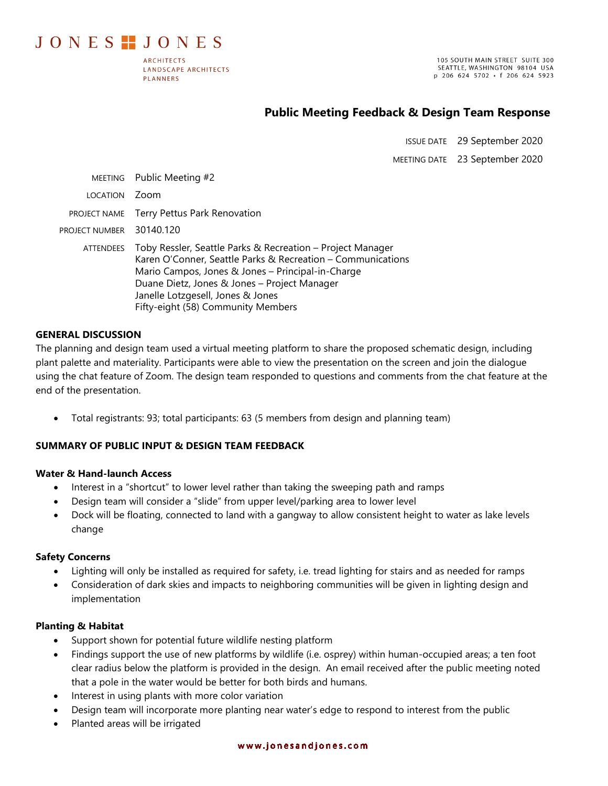JONES TJONES

**ARCHITECTS** LANDSCAPE ARCHITECTS **PLANNERS** 

105 SOUTH MAIN STREET SUITE 300 SEATTLE, WASHINGTON 98104 USA p 206 624 5702 · f 206 624 5923

# **Public Meeting Feedback & Design Team Response**

ISSUE DATE 29 September 2020

MEETING DATE 23 September 2020

| MEETING          | Public Meeting #2                                                                                                                                                                                                                                                                                         |
|------------------|-----------------------------------------------------------------------------------------------------------------------------------------------------------------------------------------------------------------------------------------------------------------------------------------------------------|
| <b>LOCATION</b>  | Zoom                                                                                                                                                                                                                                                                                                      |
| PROJECT NAME     | Terry Pettus Park Renovation                                                                                                                                                                                                                                                                              |
| PROJECT NUMBER   | 30140.120                                                                                                                                                                                                                                                                                                 |
| <b>ATTENDEES</b> | Toby Ressler, Seattle Parks & Recreation – Project Manager<br>Karen O'Conner, Seattle Parks & Recreation - Communications<br>Mario Campos, Jones & Jones - Principal-in-Charge<br>Duane Dietz, Jones & Jones - Project Manager<br>Janelle Lotzgesell, Jones & Jones<br>Fifty-eight (58) Community Members |

### **GENERAL DISCUSSION**

The planning and design team used a virtual meeting platform to share the proposed schematic design, including plant palette and materiality. Participants were able to view the presentation on the screen and join the dialogue using the chat feature of Zoom. The design team responded to questions and comments from the chat feature at the end of the presentation.

• Total registrants: 93; total participants: 63 (5 members from design and planning team)

#### **SUMMARY OF PUBLIC INPUT & DESIGN TEAM FEEDBACK**

#### **Water & Hand-launch Access**

- Interest in a "shortcut" to lower level rather than taking the sweeping path and ramps
- Design team will consider a "slide" from upper level/parking area to lower level
- Dock will be floating, connected to land with a gangway to allow consistent height to water as lake levels change

#### **Safety Concerns**

- Lighting will only be installed as required for safety, i.e. tread lighting for stairs and as needed for ramps
- Consideration of dark skies and impacts to neighboring communities will be given in lighting design and implementation

#### **Planting & Habitat**

- Support shown for potential future wildlife nesting platform
- Findings support the use of new platforms by wildlife (i.e. osprey) within human-occupied areas; a ten foot clear radius below the platform is provided in the design. An email received after the public meeting noted that a pole in the water would be better for both birds and humans.
- Interest in using plants with more color variation
- Design team will incorporate more planting near water's edge to respond to interest from the public
- Planted areas will be irrigated

#### www.jonesandjones.com